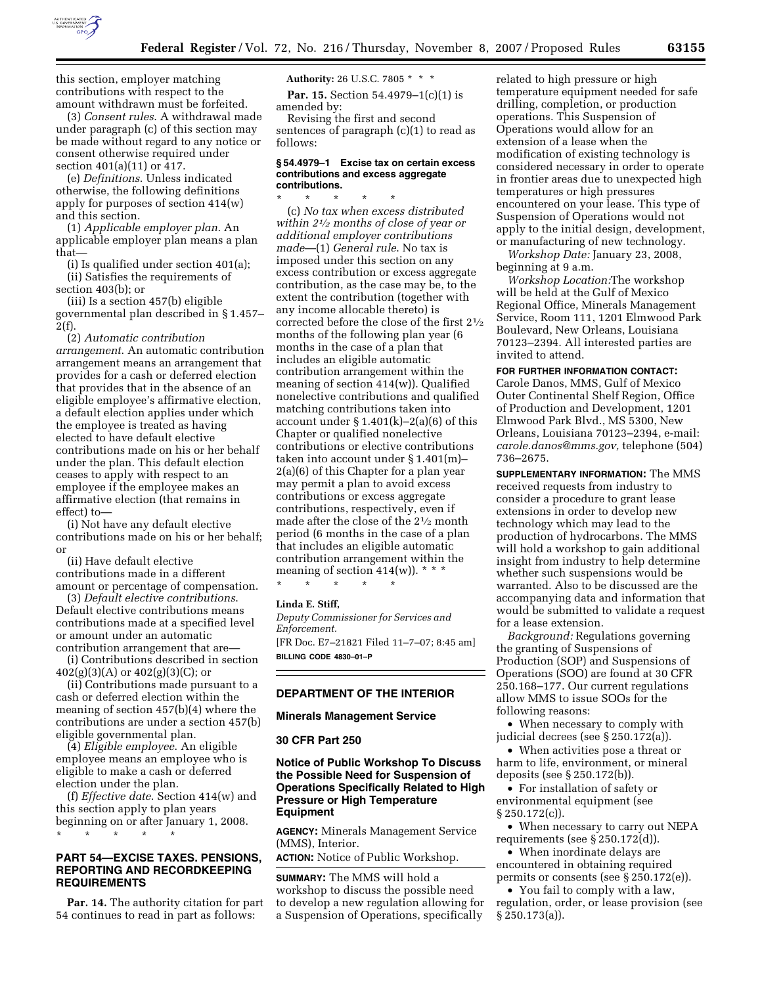

this section, employer matching contributions with respect to the amount withdrawn must be forfeited.

(3) *Consent rules*. A withdrawal made under paragraph (c) of this section may be made without regard to any notice or consent otherwise required under section 401(a)(11) or 417.

(e) *Definitions*. Unless indicated otherwise, the following definitions apply for purposes of section 414(w) and this section.

(1) *Applicable employer plan*. An applicable employer plan means a plan that—

(i) Is qualified under section 401(a);

(ii) Satisfies the requirements of section 403(b); or

(iii) Is a section 457(b) eligible governmental plan described in § 1.457– 2(f).

(2) *Automatic contribution arrangement*. An automatic contribution arrangement means an arrangement that provides for a cash or deferred election that provides that in the absence of an eligible employee's affirmative election, a default election applies under which the employee is treated as having elected to have default elective contributions made on his or her behalf under the plan. This default election ceases to apply with respect to an employee if the employee makes an affirmative election (that remains in effect) to—

(i) Not have any default elective contributions made on his or her behalf; or

(ii) Have default elective contributions made in a different amount or percentage of compensation.

(3) *Default elective contributions*. Default elective contributions means contributions made at a specified level or amount under an automatic contribution arrangement that are—

(i) Contributions described in section  $402(g)(3)(A)$  or  $402(g)(3)(C)$ ; or

(ii) Contributions made pursuant to a cash or deferred election within the meaning of section 457(b)(4) where the contributions are under a section 457(b) eligible governmental plan.

(4) *Eligible employee*. An eligible employee means an employee who is eligible to make a cash or deferred election under the plan.

(f) *Effective date*. Section 414(w) and this section apply to plan years beginning on or after January 1, 2008. \* \* \* \* \*

## **PART 54—EXCISE TAXES. PENSIONS, REPORTING AND RECORDKEEPING REQUIREMENTS**

**Par. 14.** The authority citation for part 54 continues to read in part as follows:

**Authority:** 26 U.S.C. 7805 \* \* \*

**Par. 15.** Section 54.4979–1(c)(1) is amended by:

Revising the first and second sentences of paragraph (c)(1) to read as follows:

#### **§ 54.4979–1 Excise tax on certain excess contributions and excess aggregate contributions.**

\* \* \* \* \* (c) *No tax when excess distributed within 21⁄2 months of close of year or additional employer contributions made*—(1) *General rule*. No tax is imposed under this section on any excess contribution or excess aggregate contribution, as the case may be, to the extent the contribution (together with any income allocable thereto) is corrected before the close of the first 21⁄2 months of the following plan year (6 months in the case of a plan that includes an eligible automatic contribution arrangement within the meaning of section 414(w)). Qualified nonelective contributions and qualified matching contributions taken into account under  $\S 1.401(k)-2(a)(6)$  of this Chapter or qualified nonelective contributions or elective contributions taken into account under § 1.401(m)– 2(a)(6) of this Chapter for a plan year may permit a plan to avoid excess contributions or excess aggregate contributions, respectively, even if made after the close of the 21⁄2 month period (6 months in the case of a plan that includes an eligible automatic contribution arrangement within the meaning of section  $414(w)$ ). \* \* \*

\* \* \* \* \*

## **Linda E. Stiff,**

*Deputy Commissioner for Services and Enforcement.* 

[FR Doc. E7–21821 Filed 11–7–07; 8:45 am] **BILLING CODE 4830–01–P** 

# **DEPARTMENT OF THE INTERIOR**

#### **Minerals Management Service**

#### **30 CFR Part 250**

## **Notice of Public Workshop To Discuss the Possible Need for Suspension of Operations Specifically Related to High Pressure or High Temperature Equipment**

**AGENCY:** Minerals Management Service (MMS), Interior.

**ACTION:** Notice of Public Workshop.

**SUMMARY:** The MMS will hold a workshop to discuss the possible need to develop a new regulation allowing for a Suspension of Operations, specifically

related to high pressure or high temperature equipment needed for safe drilling, completion, or production operations. This Suspension of Operations would allow for an extension of a lease when the modification of existing technology is considered necessary in order to operate in frontier areas due to unexpected high temperatures or high pressures encountered on your lease. This type of Suspension of Operations would not apply to the initial design, development, or manufacturing of new technology.

*Workshop Date:* January 23, 2008, beginning at 9 a.m.

*Workshop Location:*The workshop will be held at the Gulf of Mexico Regional Office, Minerals Management Service, Room 111, 1201 Elmwood Park Boulevard, New Orleans, Louisiana 70123–2394. All interested parties are invited to attend.

**FOR FURTHER INFORMATION CONTACT:**  Carole Danos, MMS, Gulf of Mexico Outer Continental Shelf Region, Office of Production and Development, 1201 Elmwood Park Blvd., MS 5300, New Orleans, Louisiana 70123–2394, e-mail: *carole.danos@mms.gov,* telephone (504) 736–2675.

**SUPPLEMENTARY INFORMATION:** The MMS received requests from industry to consider a procedure to grant lease extensions in order to develop new technology which may lead to the production of hydrocarbons. The MMS will hold a workshop to gain additional insight from industry to help determine whether such suspensions would be warranted. Also to be discussed are the accompanying data and information that would be submitted to validate a request for a lease extension.

*Background:* Regulations governing the granting of Suspensions of Production (SOP) and Suspensions of Operations (SOO) are found at 30 CFR 250.168–177. Our current regulations allow MMS to issue SOOs for the following reasons:

• When necessary to comply with judicial decrees (see § 250.172(a)).

• When activities pose a threat or harm to life, environment, or mineral deposits (see § 250.172(b)).

• For installation of safety or environmental equipment (see § 250.172(c)).

• When necessary to carry out NEPA requirements (see § 250.172(d)).

• When inordinate delays are encountered in obtaining required permits or consents (see § 250.172(e)).

• You fail to comply with a law, regulation, order, or lease provision (see § 250.173(a)).